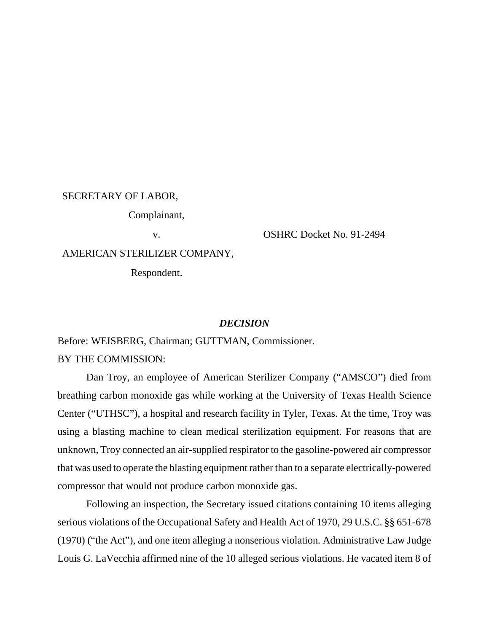## SECRETARY OF LABOR,

Complainant,

v. OSHRC Docket No. 91-2494

AMERICAN STERILIZER COMPANY,

Respondent.

# *DECISION*

Before: WEISBERG, Chairman; GUTTMAN, Commissioner. BY THE COMMISSION:

Dan Troy, an employee of American Sterilizer Company ("AMSCO") died from breathing carbon monoxide gas while working at the University of Texas Health Science Center ("UTHSC"), a hospital and research facility in Tyler, Texas. At the time, Troy was using a blasting machine to clean medical sterilization equipment. For reasons that are unknown, Troy connected an air-supplied respirator to the gasoline-powered air compressor that was used to operate the blasting equipment rather than to a separate electrically-powered compressor that would not produce carbon monoxide gas.

Following an inspection, the Secretary issued citations containing 10 items alleging serious violations of the Occupational Safety and Health Act of 1970, 29 U.S.C. §§ 651-678 (1970) ("the Act"), and one item alleging a nonserious violation. Administrative Law Judge Louis G. LaVecchia affirmed nine of the 10 alleged serious violations. He vacated item 8 of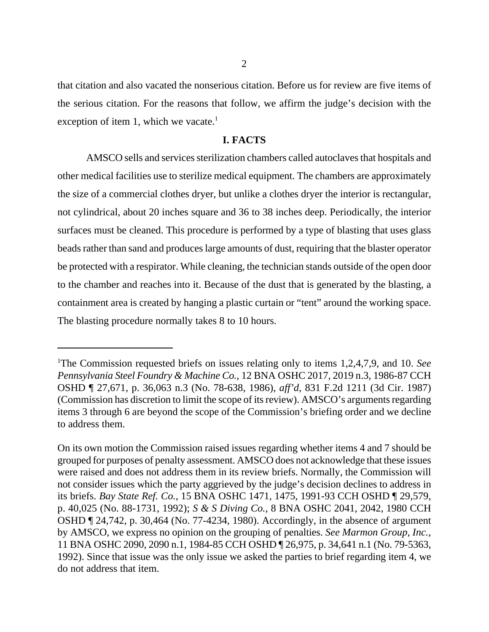that citation and also vacated the nonserious citation. Before us for review are five items of the serious citation. For the reasons that follow, we affirm the judge's decision with the exception of item 1, which we vacate.<sup>1</sup>

## **I. FACTS**

AMSCO sells and services sterilization chambers called autoclaves that hospitals and other medical facilities use to sterilize medical equipment. The chambers are approximately the size of a commercial clothes dryer, but unlike a clothes dryer the interior is rectangular, not cylindrical, about 20 inches square and 36 to 38 inches deep. Periodically, the interior surfaces must be cleaned. This procedure is performed by a type of blasting that uses glass beads rather than sand and produces large amounts of dust, requiring that the blaster operator be protected with a respirator. While cleaning, the technician stands outside of the open door to the chamber and reaches into it. Because of the dust that is generated by the blasting, a containment area is created by hanging a plastic curtain or "tent" around the working space. The blasting procedure normally takes 8 to 10 hours.

<sup>&</sup>lt;sup>1</sup>The Commission requested briefs on issues relating only to items 1,2,4,7,9, and 10. *See Pennsylvania Steel Foundry & Machine Co.*, 12 BNA OSHC 2017, 2019 n.3, 1986-87 CCH OSHD ¶ 27,671, p. 36,063 n.3 (No. 78-638, 1986), *aff'd*, 831 F.2d 1211 (3d Cir. 1987) (Commission has discretion to limit the scope of its review). AMSCO's arguments regarding items 3 through 6 are beyond the scope of the Commission's briefing order and we decline to address them.

On its own motion the Commission raised issues regarding whether items 4 and 7 should be grouped for purposes of penalty assessment. AMSCO does not acknowledge that these issues were raised and does not address them in its review briefs. Normally, the Commission will not consider issues which the party aggrieved by the judge's decision declines to address in its briefs. *Bay State Ref. Co.*, 15 BNA OSHC 1471, 1475, 1991-93 CCH OSHD ¶ 29,579, p. 40,025 (No. 88-1731, 1992); *S & S Diving Co.*, 8 BNA OSHC 2041, 2042, 1980 CCH OSHD ¶ 24,742, p. 30,464 (No. 77-4234, 1980). Accordingly, in the absence of argument by AMSCO, we express no opinion on the grouping of penalties. *See Marmon Group, Inc.*, 11 BNA OSHC 2090, 2090 n.1, 1984-85 CCH OSHD ¶ 26,975, p. 34,641 n.1 (No. 79-5363, 1992). Since that issue was the only issue we asked the parties to brief regarding item 4, we do not address that item.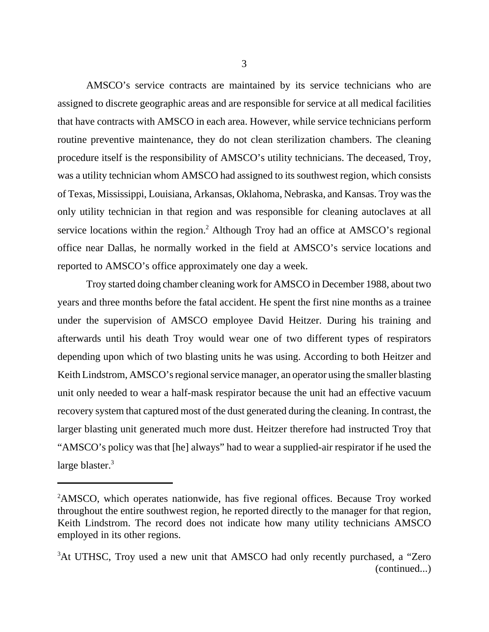AMSCO's service contracts are maintained by its service technicians who are assigned to discrete geographic areas and are responsible for service at all medical facilities that have contracts with AMSCO in each area. However, while service technicians perform routine preventive maintenance, they do not clean sterilization chambers. The cleaning procedure itself is the responsibility of AMSCO's utility technicians. The deceased, Troy, was a utility technician whom AMSCO had assigned to its southwest region, which consists of Texas, Mississippi, Louisiana, Arkansas, Oklahoma, Nebraska, and Kansas. Troy was the only utility technician in that region and was responsible for cleaning autoclaves at all service locations within the region.<sup>2</sup> Although Troy had an office at AMSCO's regional office near Dallas, he normally worked in the field at AMSCO's service locations and reported to AMSCO's office approximately one day a week.

Troy started doing chamber cleaning work for AMSCO in December 1988, about two years and three months before the fatal accident. He spent the first nine months as a trainee under the supervision of AMSCO employee David Heitzer. During his training and afterwards until his death Troy would wear one of two different types of respirators depending upon which of two blasting units he was using. According to both Heitzer and Keith Lindstrom, AMSCO's regional service manager, an operator using the smaller blasting unit only needed to wear a half-mask respirator because the unit had an effective vacuum recovery system that captured most of the dust generated during the cleaning. In contrast, the larger blasting unit generated much more dust. Heitzer therefore had instructed Troy that "AMSCO's policy was that [he] always" had to wear a supplied-air respirator if he used the large blaster.<sup>3</sup>

<sup>&</sup>lt;sup>2</sup>AMSCO, which operates nationwide, has five regional offices. Because Troy worked throughout the entire southwest region, he reported directly to the manager for that region, Keith Lindstrom. The record does not indicate how many utility technicians AMSCO employed in its other regions.

<sup>&</sup>lt;sup>3</sup>At UTHSC, Troy used a new unit that AMSCO had only recently purchased, a "Zero" (continued...)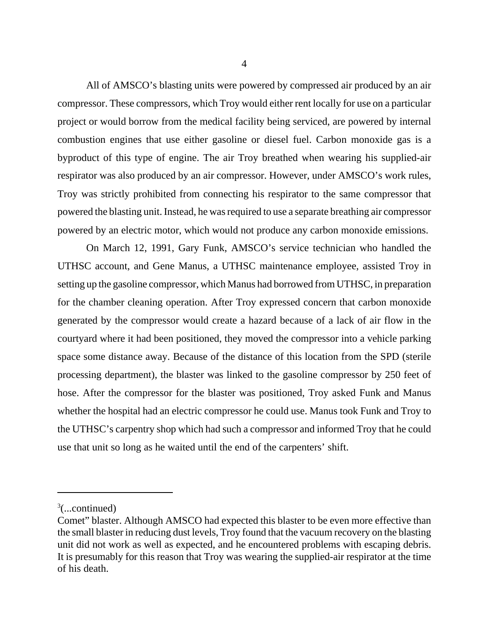All of AMSCO's blasting units were powered by compressed air produced by an air compressor. These compressors, which Troy would either rent locally for use on a particular project or would borrow from the medical facility being serviced, are powered by internal combustion engines that use either gasoline or diesel fuel. Carbon monoxide gas is a byproduct of this type of engine. The air Troy breathed when wearing his supplied-air respirator was also produced by an air compressor. However, under AMSCO's work rules, Troy was strictly prohibited from connecting his respirator to the same compressor that powered the blasting unit. Instead, he was required to use a separate breathing air compressor powered by an electric motor, which would not produce any carbon monoxide emissions.

On March 12, 1991, Gary Funk, AMSCO's service technician who handled the UTHSC account, and Gene Manus, a UTHSC maintenance employee, assisted Troy in setting up the gasoline compressor, which Manus had borrowed from UTHSC, in preparation for the chamber cleaning operation. After Troy expressed concern that carbon monoxide generated by the compressor would create a hazard because of a lack of air flow in the courtyard where it had been positioned, they moved the compressor into a vehicle parking space some distance away. Because of the distance of this location from the SPD (sterile processing department), the blaster was linked to the gasoline compressor by 250 feet of hose. After the compressor for the blaster was positioned, Troy asked Funk and Manus whether the hospital had an electric compressor he could use. Manus took Funk and Troy to the UTHSC's carpentry shop which had such a compressor and informed Troy that he could use that unit so long as he waited until the end of the carpenters' shift.

 $3$ (...continued)

Comet" blaster. Although AMSCO had expected this blaster to be even more effective than the small blaster in reducing dust levels, Troy found that the vacuum recovery on the blasting unit did not work as well as expected, and he encountered problems with escaping debris. It is presumably for this reason that Troy was wearing the supplied-air respirator at the time of his death.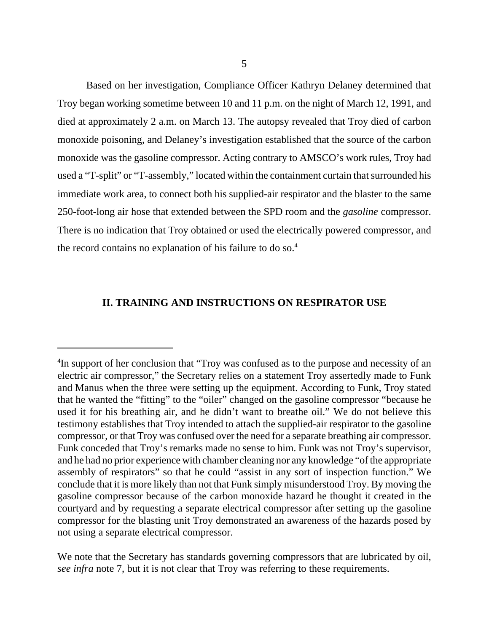Based on her investigation, Compliance Officer Kathryn Delaney determined that Troy began working sometime between 10 and 11 p.m. on the night of March 12, 1991, and died at approximately 2 a.m. on March 13. The autopsy revealed that Troy died of carbon monoxide poisoning, and Delaney's investigation established that the source of the carbon monoxide was the gasoline compressor. Acting contrary to AMSCO's work rules, Troy had used a "T-split" or "T-assembly," located within the containment curtain that surrounded his immediate work area, to connect both his supplied-air respirator and the blaster to the same 250-foot-long air hose that extended between the SPD room and the *gasoline* compressor. There is no indication that Troy obtained or used the electrically powered compressor, and the record contains no explanation of his failure to do so.<sup>4</sup>

# **II. TRAINING AND INSTRUCTIONS ON RESPIRATOR USE**

<sup>&</sup>lt;sup>4</sup>In support of her conclusion that "Troy was confused as to the purpose and necessity of an electric air compressor," the Secretary relies on a statement Troy assertedly made to Funk and Manus when the three were setting up the equipment. According to Funk, Troy stated that he wanted the "fitting" to the "oiler" changed on the gasoline compressor "because he used it for his breathing air, and he didn't want to breathe oil." We do not believe this testimony establishes that Troy intended to attach the supplied-air respirator to the gasoline compressor, or that Troy was confused over the need for a separate breathing air compressor. Funk conceded that Troy's remarks made no sense to him. Funk was not Troy's supervisor, and he had no prior experience with chamber cleaning nor any knowledge "of the appropriate assembly of respirators" so that he could "assist in any sort of inspection function." We conclude that it is more likely than not that Funk simply misunderstood Troy. By moving the gasoline compressor because of the carbon monoxide hazard he thought it created in the courtyard and by requesting a separate electrical compressor after setting up the gasoline compressor for the blasting unit Troy demonstrated an awareness of the hazards posed by not using a separate electrical compressor.

We note that the Secretary has standards governing compressors that are lubricated by oil, *see infra* note 7, but it is not clear that Troy was referring to these requirements.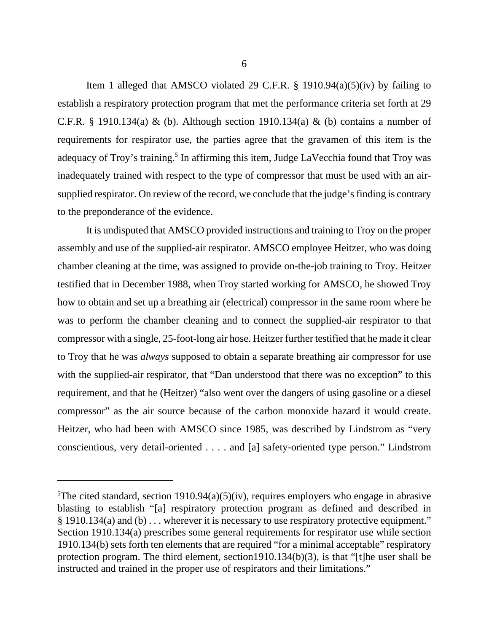Item 1 alleged that AMSCO violated 29 C.F.R.  $\S$  1910.94(a)(5)(iv) by failing to establish a respiratory protection program that met the performance criteria set forth at 29 C.F.R. § 1910.134(a) & (b). Although section 1910.134(a) & (b) contains a number of requirements for respirator use, the parties agree that the gravamen of this item is the adequacy of Troy's training.<sup>5</sup> In affirming this item, Judge LaVecchia found that Troy was inadequately trained with respect to the type of compressor that must be used with an airsupplied respirator. On review of the record, we conclude that the judge's finding is contrary to the preponderance of the evidence.

It is undisputed that AMSCO provided instructions and training to Troy on the proper assembly and use of the supplied-air respirator. AMSCO employee Heitzer, who was doing chamber cleaning at the time, was assigned to provide on-the-job training to Troy. Heitzer testified that in December 1988, when Troy started working for AMSCO, he showed Troy how to obtain and set up a breathing air (electrical) compressor in the same room where he was to perform the chamber cleaning and to connect the supplied-air respirator to that compressor with a single, 25-foot-long air hose. Heitzer further testified that he made it clear to Troy that he was *always* supposed to obtain a separate breathing air compressor for use with the supplied-air respirator, that "Dan understood that there was no exception" to this requirement, and that he (Heitzer) "also went over the dangers of using gasoline or a diesel compressor" as the air source because of the carbon monoxide hazard it would create. Heitzer, who had been with AMSCO since 1985, was described by Lindstrom as "very conscientious, very detail-oriented . . . . and [a] safety-oriented type person." Lindstrom

<sup>&</sup>lt;sup>5</sup>The cited standard, section 1910.94(a)(5)(iv), requires employers who engage in abrasive blasting to establish "[a] respiratory protection program as defined and described in § 1910.134(a) and (b) . . . wherever it is necessary to use respiratory protective equipment." Section 1910.134(a) prescribes some general requirements for respirator use while section 1910.134(b) sets forth ten elements that are required "for a minimal acceptable" respiratory protection program. The third element, section1910.134(b)(3), is that "[t]he user shall be instructed and trained in the proper use of respirators and their limitations."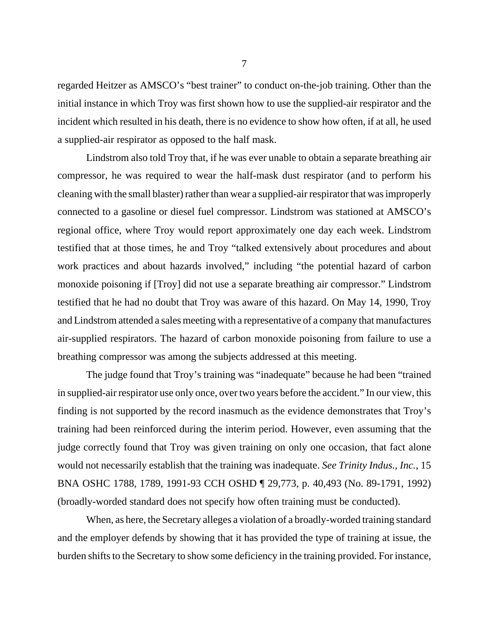regarded Heitzer as AMSCO's "best trainer" to conduct on-the-job training. Other than the initial instance in which Troy was first shown how to use the supplied-air respirator and the incident which resulted in his death, there is no evidence to show how often, if at all, he used a supplied-air respirator as opposed to the half mask.

Lindstrom also told Troy that, if he was ever unable to obtain a separate breathing air compressor, he was required to wear the half-mask dust respirator (and to perform his cleaning with the small blaster) rather than wear a supplied-air respirator that was improperly connected to a gasoline or diesel fuel compressor. Lindstrom was stationed at AMSCO's regional office, where Troy would report approximately one day each week. Lindstrom testified that at those times, he and Troy "talked extensively about procedures and about work practices and about hazards involved," including "the potential hazard of carbon monoxide poisoning if [Troy] did not use a separate breathing air compressor." Lindstrom testified that he had no doubt that Troy was aware of this hazard. On May 14, 1990, Troy and Lindstrom attended a sales meeting with a representative of a company that manufactures air-supplied respirators. The hazard of carbon monoxide poisoning from failure to use a breathing compressor was among the subjects addressed at this meeting.

The judge found that Troy's training was "inadequate" because he had been "trained in supplied-air respirator use only once, over two years before the accident." In our view, this finding is not supported by the record inasmuch as the evidence demonstrates that Troy's training had been reinforced during the interim period. However, even assuming that the judge correctly found that Troy was given training on only one occasion, that fact alone would not necessarily establish that the training was inadequate. *See Trinity Indus., Inc.*, 15 BNA OSHC 1788, 1789, 1991-93 CCH OSHD ¶ 29,773, p. 40,493 (No. 89-1791, 1992) (broadly-worded standard does not specify how often training must be conducted).

When, as here, the Secretary alleges a violation of a broadly-worded training standard and the employer defends by showing that it has provided the type of training at issue, the burden shifts to the Secretary to show some deficiency in the training provided. For instance,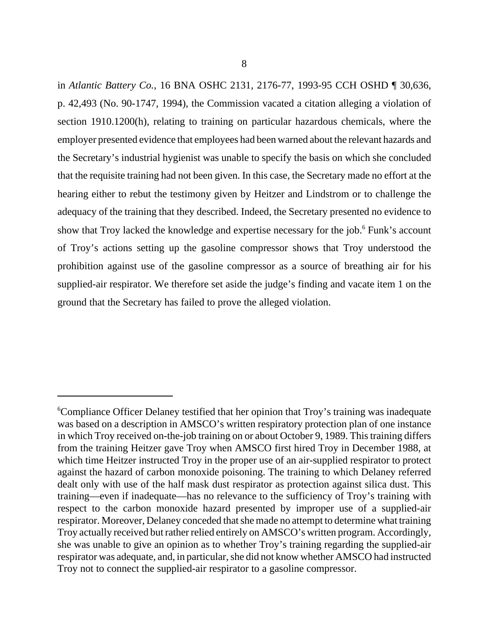in *Atlantic Battery Co.*, 16 BNA OSHC 2131, 2176-77, 1993-95 CCH OSHD ¶ 30,636, p. 42,493 (No. 90-1747, 1994), the Commission vacated a citation alleging a violation of section 1910.1200(h), relating to training on particular hazardous chemicals, where the employer presented evidence that employees had been warned about the relevant hazards and the Secretary's industrial hygienist was unable to specify the basis on which she concluded that the requisite training had not been given. In this case, the Secretary made no effort at the hearing either to rebut the testimony given by Heitzer and Lindstrom or to challenge the adequacy of the training that they described. Indeed, the Secretary presented no evidence to show that Troy lacked the knowledge and expertise necessary for the job.<sup>6</sup> Funk's account of Troy's actions setting up the gasoline compressor shows that Troy understood the prohibition against use of the gasoline compressor as a source of breathing air for his supplied-air respirator. We therefore set aside the judge's finding and vacate item 1 on the ground that the Secretary has failed to prove the alleged violation.

<sup>&</sup>lt;sup>6</sup>Compliance Officer Delaney testified that her opinion that Troy's training was inadequate was based on a description in AMSCO's written respiratory protection plan of one instance in which Troy received on-the-job training on or about October 9, 1989. This training differs from the training Heitzer gave Troy when AMSCO first hired Troy in December 1988, at which time Heitzer instructed Troy in the proper use of an air-supplied respirator to protect against the hazard of carbon monoxide poisoning. The training to which Delaney referred dealt only with use of the half mask dust respirator as protection against silica dust. This training—even if inadequate—has no relevance to the sufficiency of Troy's training with respect to the carbon monoxide hazard presented by improper use of a supplied-air respirator. Moreover, Delaney conceded that she made no attempt to determine what training Troy actually received but rather relied entirely on AMSCO's written program. Accordingly, she was unable to give an opinion as to whether Troy's training regarding the supplied-air respirator was adequate, and, in particular, she did not know whether AMSCO had instructed Troy not to connect the supplied-air respirator to a gasoline compressor.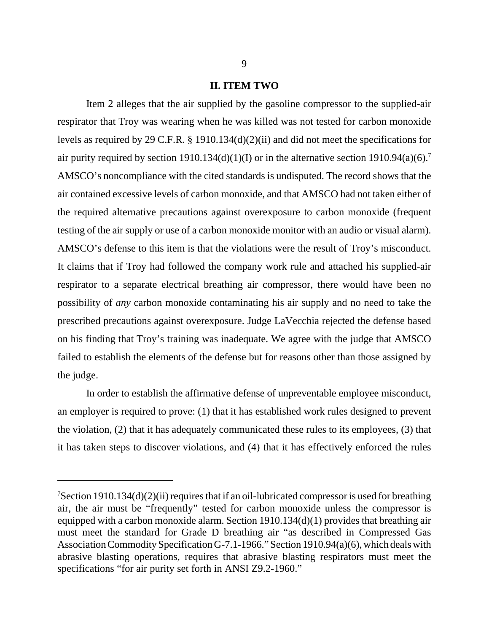#### **II. ITEM TWO**

Item 2 alleges that the air supplied by the gasoline compressor to the supplied-air respirator that Troy was wearing when he was killed was not tested for carbon monoxide levels as required by 29 C.F.R. § 1910.134(d)(2)(ii) and did not meet the specifications for air purity required by section 1910.134(d)(1)(I) or in the alternative section 1910.94(a)(6).<sup>7</sup> AMSCO's noncompliance with the cited standards is undisputed. The record shows that the air contained excessive levels of carbon monoxide, and that AMSCO had not taken either of the required alternative precautions against overexposure to carbon monoxide (frequent testing of the air supply or use of a carbon monoxide monitor with an audio or visual alarm). AMSCO's defense to this item is that the violations were the result of Troy's misconduct. It claims that if Troy had followed the company work rule and attached his supplied-air respirator to a separate electrical breathing air compressor, there would have been no possibility of *any* carbon monoxide contaminating his air supply and no need to take the prescribed precautions against overexposure. Judge LaVecchia rejected the defense based on his finding that Troy's training was inadequate. We agree with the judge that AMSCO failed to establish the elements of the defense but for reasons other than those assigned by the judge.

In order to establish the affirmative defense of unpreventable employee misconduct, an employer is required to prove: (1) that it has established work rules designed to prevent the violation, (2) that it has adequately communicated these rules to its employees, (3) that it has taken steps to discover violations, and (4) that it has effectively enforced the rules

<sup>&</sup>lt;sup>7</sup>Section 1910.134(d)(2)(ii) requires that if an oil-lubricated compressor is used for breathing air, the air must be "frequently" tested for carbon monoxide unless the compressor is equipped with a carbon monoxide alarm. Section 1910.134(d)(1) provides that breathing air must meet the standard for Grade D breathing air "as described in Compressed Gas Association Commodity Specification G-7.1-1966." Section 1910.94(a)(6), which deals with abrasive blasting operations, requires that abrasive blasting respirators must meet the specifications "for air purity set forth in ANSI Z9.2-1960."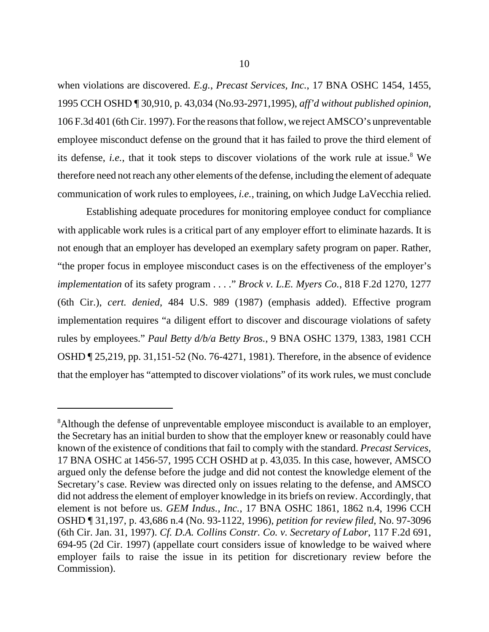when violations are discovered. *E.g.*, *Precast Services, Inc.*, 17 BNA OSHC 1454, 1455, 1995 CCH OSHD ¶ 30,910, p. 43,034 (No.93-2971,1995), *aff'd without published opinion,* 106 F.3d 401 (6th Cir. 1997). For the reasons that follow, we reject AMSCO's unpreventable employee misconduct defense on the ground that it has failed to prove the third element of its defense, *i.e.*, that it took steps to discover violations of the work rule at issue.<sup>8</sup> We therefore need not reach any other elements of the defense, including the element of adequate communication of work rules to employees, *i.e.*, training, on which Judge LaVecchia relied.

Establishing adequate procedures for monitoring employee conduct for compliance with applicable work rules is a critical part of any employer effort to eliminate hazards. It is not enough that an employer has developed an exemplary safety program on paper. Rather, "the proper focus in employee misconduct cases is on the effectiveness of the employer's *implementation* of its safety program . . . ." *Brock v. L.E. Myers Co.*, 818 F.2d 1270, 1277 (6th Cir.), *cert. denied*, 484 U.S. 989 (1987) (emphasis added). Effective program implementation requires "a diligent effort to discover and discourage violations of safety rules by employees." *Paul Betty d/b/a Betty Bros.*, 9 BNA OSHC 1379, 1383, 1981 CCH OSHD ¶ 25,219, pp. 31,151-52 (No. 76-4271, 1981). Therefore, in the absence of evidence that the employer has "attempted to discover violations" of its work rules, we must conclude

<sup>&</sup>lt;sup>8</sup>Although the defense of unpreventable employee misconduct is available to an employer, the Secretary has an initial burden to show that the employer knew or reasonably could have known of the existence of conditions that fail to comply with the standard. *Precast Services*, 17 BNA OSHC at 1456-57, 1995 CCH OSHD at p. 43,035. In this case, however, AMSCO argued only the defense before the judge and did not contest the knowledge element of the Secretary's case. Review was directed only on issues relating to the defense, and AMSCO did not address the element of employer knowledge in its briefs on review. Accordingly, that element is not before us. *GEM Indus., Inc.*, 17 BNA OSHC 1861, 1862 n.4, 1996 CCH OSHD ¶ 31,197, p. 43,686 n.4 (No. 93-1122, 1996), *petition for review filed*, No. 97-3096 (6th Cir. Jan. 31, 1997). *Cf. D.A. Collins Constr. Co. v. Secretary of Labor*, 117 F.2d 691, 694-95 (2d Cir. 1997) (appellate court considers issue of knowledge to be waived where employer fails to raise the issue in its petition for discretionary review before the Commission).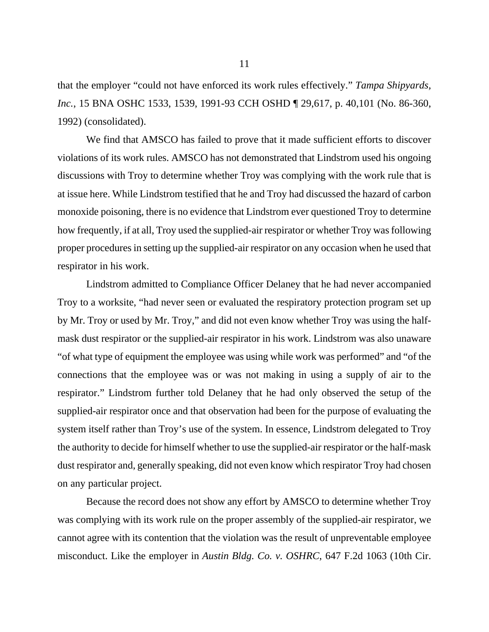that the employer "could not have enforced its work rules effectively." *Tampa Shipyards, Inc.*, 15 BNA OSHC 1533, 1539, 1991-93 CCH OSHD ¶ 29,617, p. 40,101 (No. 86-360, 1992) (consolidated).

We find that AMSCO has failed to prove that it made sufficient efforts to discover violations of its work rules. AMSCO has not demonstrated that Lindstrom used his ongoing discussions with Troy to determine whether Troy was complying with the work rule that is at issue here. While Lindstrom testified that he and Troy had discussed the hazard of carbon monoxide poisoning, there is no evidence that Lindstrom ever questioned Troy to determine how frequently, if at all, Troy used the supplied-air respirator or whether Troy was following proper procedures in setting up the supplied-air respirator on any occasion when he used that respirator in his work.

Lindstrom admitted to Compliance Officer Delaney that he had never accompanied Troy to a worksite, "had never seen or evaluated the respiratory protection program set up by Mr. Troy or used by Mr. Troy," and did not even know whether Troy was using the halfmask dust respirator or the supplied-air respirator in his work. Lindstrom was also unaware "of what type of equipment the employee was using while work was performed" and "of the connections that the employee was or was not making in using a supply of air to the respirator." Lindstrom further told Delaney that he had only observed the setup of the supplied-air respirator once and that observation had been for the purpose of evaluating the system itself rather than Troy's use of the system. In essence, Lindstrom delegated to Troy the authority to decide for himself whether to use the supplied-air respirator or the half-mask dust respirator and, generally speaking, did not even know which respirator Troy had chosen on any particular project.

Because the record does not show any effort by AMSCO to determine whether Troy was complying with its work rule on the proper assembly of the supplied-air respirator, we cannot agree with its contention that the violation was the result of unpreventable employee misconduct. Like the employer in *Austin Bldg. Co. v. OSHRC*, 647 F.2d 1063 (10th Cir.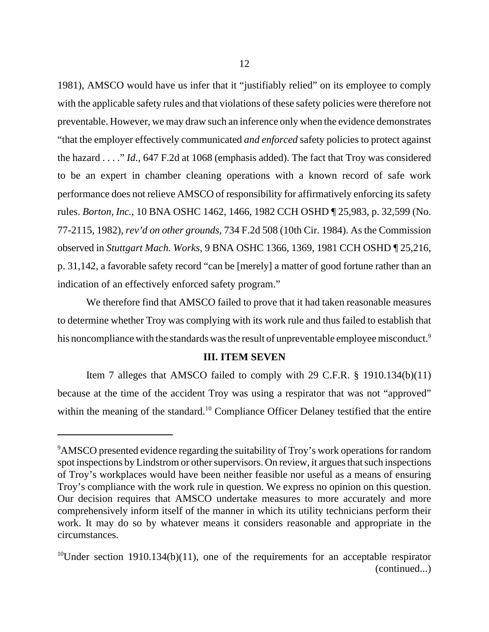1981), AMSCO would have us infer that it "justifiably relied" on its employee to comply with the applicable safety rules and that violations of these safety policies were therefore not preventable. However, we may draw such an inference only when the evidence demonstrates "that the employer effectively communicated *and enforced* safety policies to protect against the hazard . . . ." *Id.*, 647 F.2d at 1068 (emphasis added). The fact that Troy was considered to be an expert in chamber cleaning operations with a known record of safe work performance does not relieve AMSCO of responsibility for affirmatively enforcing its safety rules. *Borton, Inc.*, 10 BNA OSHC 1462, 1466, 1982 CCH OSHD ¶ 25,983, p. 32,599 (No. 77-2115, 1982), *rev'd on other grounds*, 734 F.2d 508 (10th Cir. 1984). As the Commission observed in *Stuttgart Mach. Works*, 9 BNA OSHC 1366, 1369, 1981 CCH OSHD ¶ 25,216, p. 31,142, a favorable safety record "can be [merely] a matter of good fortune rather than an indication of an effectively enforced safety program."

We therefore find that AMSCO failed to prove that it had taken reasonable measures to determine whether Troy was complying with its work rule and thus failed to establish that his noncompliance with the standards was the result of unpreventable employee misconduct.<sup>9</sup>

# **III. ITEM SEVEN**

Item 7 alleges that AMSCO failed to comply with 29 C.F.R. § 1910.134(b)(11) because at the time of the accident Troy was using a respirator that was not "approved" within the meaning of the standard.<sup>10</sup> Compliance Officer Delaney testified that the entire

<sup>&</sup>lt;sup>9</sup>AMSCO presented evidence regarding the suitability of Troy's work operations for random spot inspections by Lindstrom or other supervisors. On review, it argues that such inspections of Troy's workplaces would have been neither feasible nor useful as a means of ensuring Troy's compliance with the work rule in question. We express no opinion on this question. Our decision requires that AMSCO undertake measures to more accurately and more comprehensively inform itself of the manner in which its utility technicians perform their work. It may do so by whatever means it considers reasonable and appropriate in the circumstances.

<sup>&</sup>lt;sup>10</sup>Under section 1910.134(b)(11), one of the requirements for an acceptable respirator (continued...)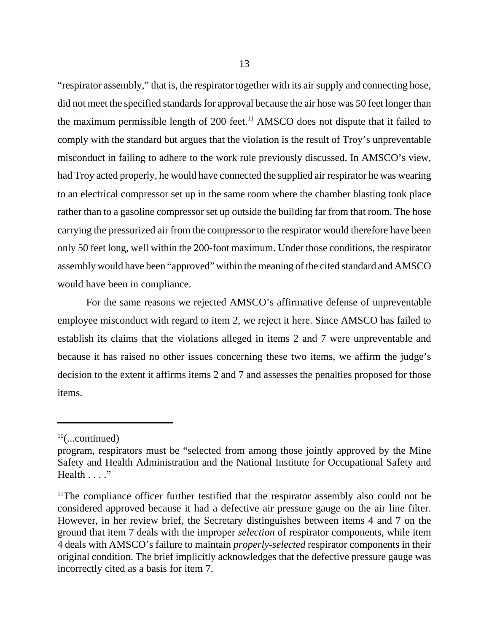"respirator assembly," that is, the respirator together with its air supply and connecting hose, did not meet the specified standards for approval because the air hose was 50 feet longer than the maximum permissible length of  $200$  feet.<sup>11</sup> AMSCO does not dispute that it failed to comply with the standard but argues that the violation is the result of Troy's unpreventable misconduct in failing to adhere to the work rule previously discussed. In AMSCO's view, had Troy acted properly, he would have connected the supplied air respirator he was wearing to an electrical compressor set up in the same room where the chamber blasting took place rather than to a gasoline compressor set up outside the building far from that room. The hose carrying the pressurized air from the compressor to the respirator would therefore have been only 50 feet long, well within the 200-foot maximum. Under those conditions, the respirator assembly would have been "approved" within the meaning of the cited standard and AMSCO would have been in compliance.

For the same reasons we rejected AMSCO's affirmative defense of unpreventable employee misconduct with regard to item 2, we reject it here. Since AMSCO has failed to establish its claims that the violations alleged in items 2 and 7 were unpreventable and because it has raised no other issues concerning these two items, we affirm the judge's decision to the extent it affirms items 2 and 7 and assesses the penalties proposed for those items.

 $10$ (...continued)

program, respirators must be "selected from among those jointly approved by the Mine Safety and Health Administration and the National Institute for Occupational Safety and Health . . . ."

 $11$ The compliance officer further testified that the respirator assembly also could not be considered approved because it had a defective air pressure gauge on the air line filter. However, in her review brief, the Secretary distinguishes between items 4 and 7 on the ground that item 7 deals with the improper *selection* of respirator components, while item 4 deals with AMSCO's failure to maintain *properly-selected* respirator components in their original condition. The brief implicitly acknowledges that the defective pressure gauge was incorrectly cited as a basis for item 7.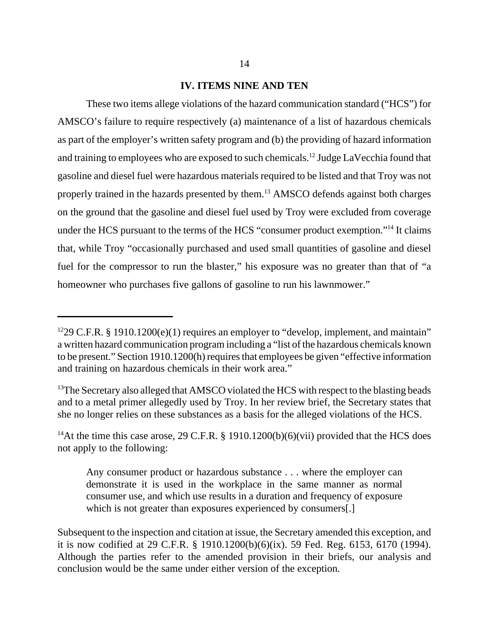# **IV. ITEMS NINE AND TEN**

These two items allege violations of the hazard communication standard ("HCS") for AMSCO's failure to require respectively (a) maintenance of a list of hazardous chemicals as part of the employer's written safety program and (b) the providing of hazard information and training to employees who are exposed to such chemicals.<sup>12</sup> Judge LaVecchia found that gasoline and diesel fuel were hazardous materials required to be listed and that Troy was not properly trained in the hazards presented by them.<sup>13</sup> AMSCO defends against both charges on the ground that the gasoline and diesel fuel used by Troy were excluded from coverage under the HCS pursuant to the terms of the HCS "consumer product exemption."<sup>14</sup> It claims that, while Troy "occasionally purchased and used small quantities of gasoline and diesel fuel for the compressor to run the blaster," his exposure was no greater than that of "a homeowner who purchases five gallons of gasoline to run his lawnmower."

<sup>&</sup>lt;sup>12</sup>29 C.F.R. § 1910.1200(e)(1) requires an employer to "develop, implement, and maintain" a written hazard communication program including a "list of the hazardous chemicals known to be present." Section 1910.1200(h) requires that employees be given "effective information and training on hazardous chemicals in their work area."

<sup>&</sup>lt;sup>13</sup>The Secretary also alleged that AMSCO violated the HCS with respect to the blasting beads and to a metal primer allegedly used by Troy. In her review brief, the Secretary states that she no longer relies on these substances as a basis for the alleged violations of the HCS.

<sup>&</sup>lt;sup>14</sup>At the time this case arose, 29 C.F.R. § 1910.1200(b)(6)(vii) provided that the HCS does not apply to the following:

Any consumer product or hazardous substance . . . where the employer can demonstrate it is used in the workplace in the same manner as normal consumer use, and which use results in a duration and frequency of exposure which is not greater than exposures experienced by consumers[.]

Subsequent to the inspection and citation at issue, the Secretary amended this exception, and it is now codified at 29 C.F.R. § 1910.1200(b)(6)(ix). 59 Fed. Reg. 6153, 6170 (1994). Although the parties refer to the amended provision in their briefs, our analysis and conclusion would be the same under either version of the exception.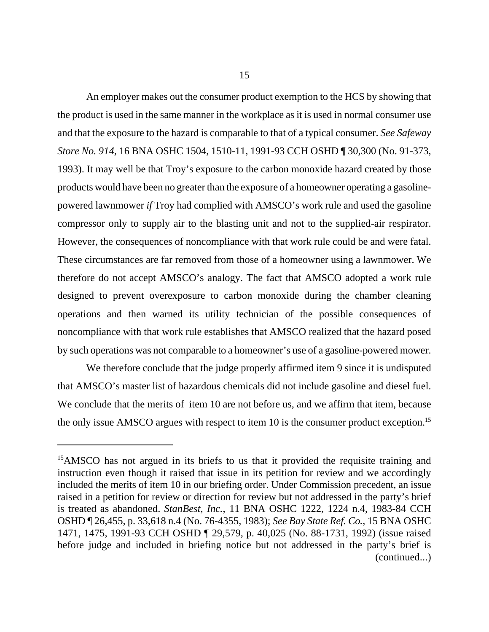15

An employer makes out the consumer product exemption to the HCS by showing that the product is used in the same manner in the workplace as it is used in normal consumer use and that the exposure to the hazard is comparable to that of a typical consumer. *See Safeway Store No. 914*, 16 BNA OSHC 1504, 1510-11, 1991-93 CCH OSHD ¶ 30,300 (No. 91-373, 1993). It may well be that Troy's exposure to the carbon monoxide hazard created by those products would have been no greater than the exposure of a homeowner operating a gasolinepowered lawnmower *if* Troy had complied with AMSCO's work rule and used the gasoline compressor only to supply air to the blasting unit and not to the supplied-air respirator. However, the consequences of noncompliance with that work rule could be and were fatal. These circumstances are far removed from those of a homeowner using a lawnmower. We therefore do not accept AMSCO's analogy. The fact that AMSCO adopted a work rule designed to prevent overexposure to carbon monoxide during the chamber cleaning operations and then warned its utility technician of the possible consequences of noncompliance with that work rule establishes that AMSCO realized that the hazard posed by such operations was not comparable to a homeowner's use of a gasoline-powered mower.

We therefore conclude that the judge properly affirmed item 9 since it is undisputed that AMSCO's master list of hazardous chemicals did not include gasoline and diesel fuel. We conclude that the merits of item 10 are not before us, and we affirm that item, because the only issue AMSCO argues with respect to item 10 is the consumer product exception.<sup>15</sup>

<sup>&</sup>lt;sup>15</sup>AMSCO has not argued in its briefs to us that it provided the requisite training and instruction even though it raised that issue in its petition for review and we accordingly included the merits of item 10 in our briefing order. Under Commission precedent, an issue raised in a petition for review or direction for review but not addressed in the party's brief is treated as abandoned. *StanBest, Inc.*, 11 BNA OSHC 1222, 1224 n.4, 1983-84 CCH OSHD ¶ 26,455, p. 33,618 n.4 (No. 76-4355, 1983); *See Bay State Ref. Co.*, 15 BNA OSHC 1471, 1475, 1991-93 CCH OSHD ¶ 29,579, p. 40,025 (No. 88-1731, 1992) (issue raised before judge and included in briefing notice but not addressed in the party's brief is (continued...)